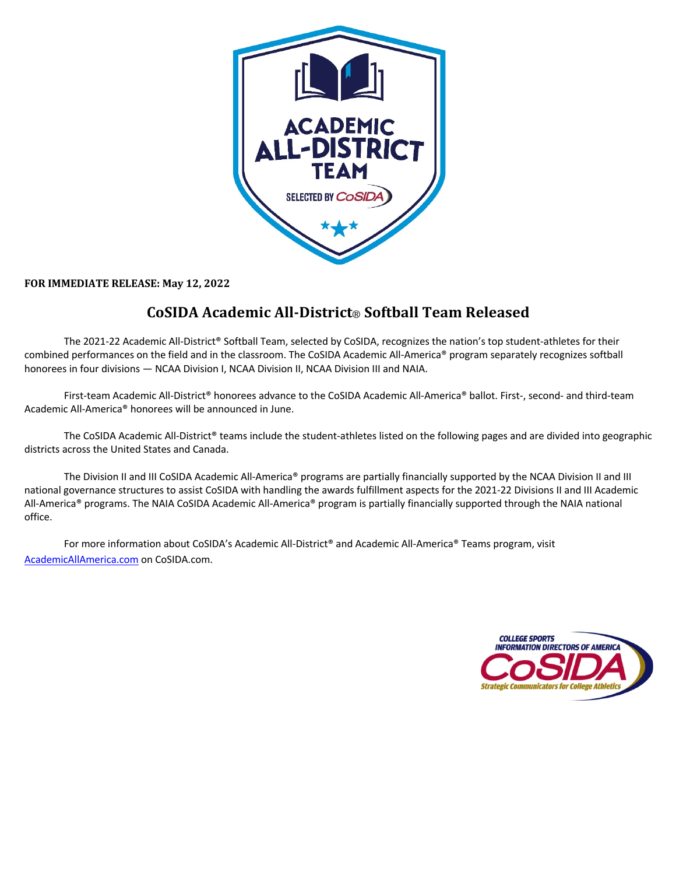

FOR IMMEDIATE RELEASE: May 12, 2022

## **CoSIDA Academic All-District**® **Softball Team Released**

The 2021-22 Academic All-District® Softball Team, selected by CoSIDA, recognizes the nation's top student-athletes for their combined performances on the field and in the classroom. The CoSIDA Academic All-America® program separately recognizes softball honorees in four divisions — NCAA Division I, NCAA Division II, NCAA Division III and NAIA.

First-team Academic All-District® honorees advance to the CoSIDA Academic All-America® ballot. First-, second- and third-team Academic All-America® honorees will be announced in June.

The CoSIDA Academic All-District® teams include the student-athletes listed on the following pages and are divided into geographic districts across the United States and Canada.

The Division II and III CoSIDA Academic All-America® programs are partially financially supported by the NCAA Division II and III national governance structures to assist CoSIDA with handling the awards fulfillment aspects for the 2021-22 Divisions II and III Academic All-America® programs. The NAIA CoSIDA Academic All-America® program is partially financially supported through the NAIA national office.

For more information about CoSIDA's Academic All-District® and Academic All-America® Teams program, visit AcademicAllAmerica.com on CoSIDA.com.

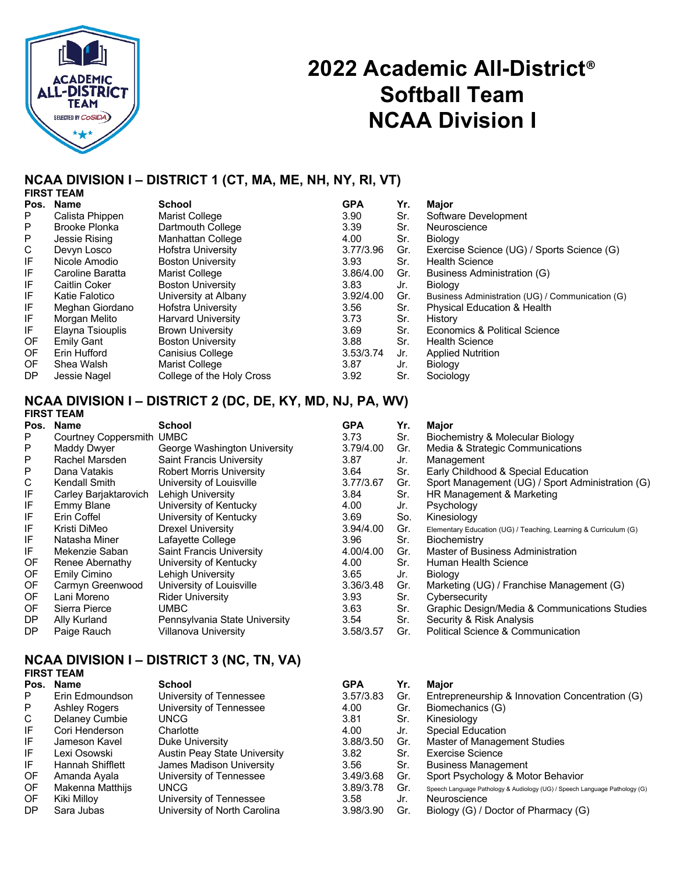

## **2022 Academic All-District**® **Softball Team NCAA Division I**

### **NCAA DIVISION I – DISTRICT 1 (CT, MA, ME, NH, NY, RI, VT)**

| <b>FIRST TEAM</b>    |                           |            |     |                                                  |
|----------------------|---------------------------|------------|-----|--------------------------------------------------|
| Name                 | <b>School</b>             | <b>GPA</b> | Yr. | Major                                            |
| Calista Phippen      | Marist College            | 3.90       | Sr. | Software Development                             |
| <b>Brooke Plonka</b> | Dartmouth College         | 3.39       | Sr. | Neuroscience                                     |
| Jessie Rising        | Manhattan College         | 4.00       | Sr. | Biology                                          |
| Devyn Losco          | <b>Hofstra University</b> | 3.77/3.96  | Gr. | Exercise Science (UG) / Sports Science (G)       |
| Nicole Amodio        | <b>Boston University</b>  | 3.93       | Sr. | <b>Health Science</b>                            |
| Caroline Baratta     | Marist College            | 3.86/4.00  | Gr. | Business Administration (G)                      |
| Caitlin Coker        | <b>Boston University</b>  | 3.83       | Jr. | <b>Biology</b>                                   |
| Katie Falotico       | University at Albany      | 3.92/4.00  | Gr. | Business Administration (UG) / Communication (G) |
| Meghan Giordano      | <b>Hofstra University</b> | 3.56       | Sr. | <b>Physical Education &amp; Health</b>           |
| Morgan Melito        | <b>Harvard University</b> | 3.73       | Sr. | History                                          |
| Elayna Tsiouplis     | <b>Brown University</b>   | 3.69       | Sr. | Economics & Political Science                    |
| <b>Emily Gant</b>    | <b>Boston University</b>  | 3.88       | Sr. | <b>Health Science</b>                            |
| Erin Hufford         | <b>Canisius College</b>   | 3.53/3.74  | Jr. | <b>Applied Nutrition</b>                         |
| Shea Walsh           | Marist College            | 3.87       | Jr. | Biology                                          |
| Jessie Nagel         | College of the Holy Cross | 3.92       | Sr. | Sociology                                        |
|                      |                           |            |     |                                                  |

#### **NCAA DIVISION I – DISTRICT 2 (DC, DE, KY, MD, NJ, PA, WV) FIRST TEAM**

|      | <b>FINOI I CAM</b>        |                                 |            |     |                                                                 |
|------|---------------------------|---------------------------------|------------|-----|-----------------------------------------------------------------|
| Pos. | Name                      | School                          | <b>GPA</b> | Yr. | Major                                                           |
| P    | Courtney Coppersmith UMBC |                                 | 3.73       | Sr. | Biochemistry & Molecular Biology                                |
| P    | Maddy Dwyer               | George Washington University    | 3.79/4.00  | Gr. | Media & Strategic Communications                                |
| P    | Rachel Marsden            | <b>Saint Francis University</b> | 3.87       | Jr. | Management                                                      |
| P    | Dana Vatakis              | <b>Robert Morris University</b> | 3.64       | Sr. | Early Childhood & Special Education                             |
| С    | Kendall Smith             | University of Louisville        | 3.77/3.67  | Gr. | Sport Management (UG) / Sport Administration (G)                |
| IF   | Carley Barjaktarovich     | Lehigh University               | 3.84       | Sr. | HR Management & Marketing                                       |
| IF   | Emmy Blane                | University of Kentucky          | 4.00       | Jr. | Psychology                                                      |
| IF   | Erin Coffel               | University of Kentucky          | 3.69       | So. | Kinesiology                                                     |
| IF   | Kristi DiMeo              | <b>Drexel University</b>        | 3.94/4.00  | Gr. | Elementary Education (UG) / Teaching, Learning & Curriculum (G) |
| IF   | Natasha Miner             | Lafayette College               | 3.96       | Sr. | <b>Biochemistry</b>                                             |
| IF   | Mekenzie Saban            | <b>Saint Francis University</b> | 4.00/4.00  | Gr. | Master of Business Administration                               |
| OF   | Renee Abernathy           | University of Kentucky          | 4.00       | Sr. | Human Health Science                                            |
| OF   | Emily Cimino              | Lehigh University               | 3.65       | Jr. | Biology                                                         |
| OF   | Carmyn Greenwood          | University of Louisville        | 3.36/3.48  | Gr. | Marketing (UG) / Franchise Management (G)                       |
| 0F   | Lani Moreno               | <b>Rider University</b>         | 3.93       | Sr. | Cybersecurity                                                   |
| OF   | Sierra Pierce             | <b>UMBC</b>                     | 3.63       | Sr. | Graphic Design/Media & Communications Studies                   |
| DP   | Ally Kurland              | Pennsylvania State University   | 3.54       | Sr. | Security & Risk Analysis                                        |
| DP   | Paige Rauch               | <b>Villanova University</b>     | 3.58/3.57  | Gr. | Political Science & Communication                               |
|      |                           |                                 |            |     |                                                                 |

#### **NCAA DIVISION I – DISTRICT 3 (NC, TN, VA) FIRST TEAM**

| 1 1117. I LAM    |                                     |            |     |                                                                            |
|------------------|-------------------------------------|------------|-----|----------------------------------------------------------------------------|
| Name             | School                              | <b>GPA</b> | Yr. | Maior                                                                      |
| Erin Edmoundson  | University of Tennessee             | 3.57/3.83  | Gr. | Entrepreneurship & Innovation Concentration (G)                            |
| Ashley Rogers    | University of Tennessee             | 4.00       | Gr. | Biomechanics (G)                                                           |
| Delaney Cumbie   | UNCG.                               | 3.81       | Sr. | Kinesiology                                                                |
| Cori Henderson   | Charlotte                           | 4.00       | Jr. | <b>Special Education</b>                                                   |
| Jameson Kavel    | Duke University                     | 3.88/3.50  | Gr. | Master of Management Studies                                               |
| Lexi Osowski     | <b>Austin Peay State University</b> | 3.82       | Sr. | <b>Exercise Science</b>                                                    |
| Hannah Shifflett | James Madison University            | 3.56       | Sr. | <b>Business Management</b>                                                 |
| Amanda Ayala     | University of Tennessee             | 3.49/3.68  | Gr. | Sport Psychology & Motor Behavior                                          |
| Makenna Matthijs | UNCG                                | 3.89/3.78  | Gr. | Speech Language Pathology & Audiology (UG) / Speech Language Pathology (G) |
| Kiki Milloy      | University of Tennessee             | 3.58       | Jr. | Neuroscience                                                               |
| Sara Jubas       | University of North Carolina        | 3.98/3.90  | Gr. | Biology (G) / Doctor of Pharmacy (G)                                       |
|                  |                                     |            |     |                                                                            |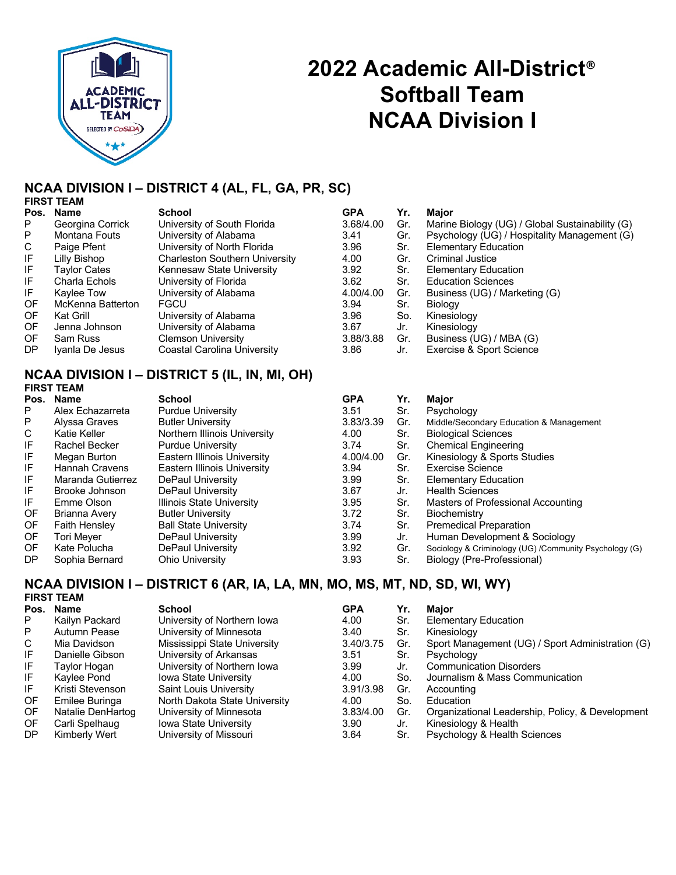

# **2022 Academic All-District**® **Softball Team NCAA Division I**

## **NCAA DIVISION I – DISTRICT 4 (AL, FL, GA, PR, SC)**

|      | <b>FIRST TEAM</b> |                                       |            |     |                                                 |
|------|-------------------|---------------------------------------|------------|-----|-------------------------------------------------|
| Pos. | <b>Name</b>       | <b>School</b>                         | <b>GPA</b> | Yr. | Major                                           |
| P    | Georgina Corrick  | University of South Florida           | 3.68/4.00  | Gr. | Marine Biology (UG) / Global Sustainability (G) |
| P    | Montana Fouts     | University of Alabama                 | 3.41       | Gr. | Psychology (UG) / Hospitality Management (G)    |
| C.   | Paige Pfent       | University of North Florida           | 3.96       | Sr. | <b>Elementary Education</b>                     |
| ΙF   | Lilly Bishop      | <b>Charleston Southern University</b> | 4.00       | Gr. | <b>Criminal Justice</b>                         |
| IF.  | Taylor Cates      | Kennesaw State University             | 3.92       | Sr. | <b>Elementary Education</b>                     |
| IF.  | Charla Echols     | University of Florida                 | 3.62       | Sr. | <b>Education Sciences</b>                       |
| IF.  | Kaylee Tow        | University of Alabama                 | 4.00/4.00  | Gr. | Business (UG) / Marketing (G)                   |
| OF   | McKenna Batterton | <b>FGCU</b>                           | 3.94       | Sr. | Biology                                         |
| OF   | Kat Grill         | University of Alabama                 | 3.96       | So. | Kinesiology                                     |
| OF   | Jenna Johnson     | University of Alabama                 | 3.67       | Jr. | Kinesiology                                     |
| OF.  | Sam Russ          | <b>Clemson University</b>             | 3.88/3.88  | Gr. | Business (UG) / MBA (G)                         |
| DP.  | Iyanla De Jesus   | Coastal Carolina University           | 3.86       | Jr. | Exercise & Sport Science                        |
|      |                   |                                       |            |     |                                                 |

#### **NCAA DIVISION I – DISTRICT 5 (IL, IN, MI, OH) FIRST TEAM**

| Pos. | <b>Name</b>       | <b>School</b>                | <b>GPA</b> | Yr. | <b>Major</b>                                           |
|------|-------------------|------------------------------|------------|-----|--------------------------------------------------------|
| P.   | Alex Echazarreta  | <b>Purdue University</b>     | 3.51       | Sr. | Psychology                                             |
| P    | Alyssa Graves     | <b>Butler University</b>     | 3.83/3.39  | Gr. | Middle/Secondary Education & Management                |
| C    | Katie Keller      | Northern Illinois University | 4.00       | Sr. | <b>Biological Sciences</b>                             |
| IF   | Rachel Becker     | <b>Purdue University</b>     | 3.74       | Sr. | <b>Chemical Engineering</b>                            |
| IF   | Megan Burton      | Eastern Illinois University  | 4.00/4.00  | Gr. | Kinesiology & Sports Studies                           |
| IF   | Hannah Cravens    | Eastern Illinois University  | 3.94       | Sr. | Exercise Science                                       |
| IF   | Maranda Gutierrez | DePaul University            | 3.99       | Sr. | <b>Elementary Education</b>                            |
| IF   | Brooke Johnson    | DePaul University            | 3.67       | Jr. | <b>Health Sciences</b>                                 |
| IF   | Emme Olson        | Illinois State University    | 3.95       | Sr. | Masters of Professional Accounting                     |
| 0F   | Brianna Avery     | <b>Butler University</b>     | 3.72       | Sr. | Biochemistry                                           |
| 0F   | Faith Hensley     | <b>Ball State University</b> | 3.74       | Sr. | <b>Premedical Preparation</b>                          |
| 0F   | <b>Tori Mever</b> | DePaul University            | 3.99       | Jr. | Human Development & Sociology                          |
| 0F   | Kate Polucha      | DePaul University            | 3.92       | Gr. | Sociology & Criminology (UG) /Community Psychology (G) |
| DP   | Sophia Bernard    | Ohio Universitv              | 3.93       | Sr. | Biology (Pre-Professional)                             |

#### **NCAA DIVISION I – DISTRICT 6 (AR, IA, LA, MN, MO, MS, MT, ND, SD, WI, WY) FIRST TEAM**

|      | 1 1117. I LAM     |                               |            |     |                                                  |
|------|-------------------|-------------------------------|------------|-----|--------------------------------------------------|
| Pos. | Name              | <b>School</b>                 | <b>GPA</b> | Yr. | Maior                                            |
| P    | Kailyn Packard    | University of Northern Iowa   | 4.00       | Sr. | <b>Elementary Education</b>                      |
| P    | Autumn Pease      | University of Minnesota       | 3.40       | Sr. | Kinesiology                                      |
| C    | Mia Davidson      | Mississippi State University  | 3.40/3.75  | Gr. | Sport Management (UG) / Sport Administration (G) |
| IF   | Danielle Gibson   | University of Arkansas        | 3.51       | Sr. | Psychology                                       |
| IF   | Taylor Hoqan      | University of Northern Iowa   | 3.99       | Jr. | <b>Communication Disorders</b>                   |
| IF   | Kaylee Pond       | <b>Iowa State University</b>  | 4.00       | So. | Journalism & Mass Communication                  |
| IF   | Kristi Stevenson  | Saint Louis University        | 3.91/3.98  | Gr. | Accounting                                       |
| OF.  | Emilee Buringa    | North Dakota State University | 4.00       | So. | Education                                        |
| OF.  | Natalie DenHartog | University of Minnesota       | 3.83/4.00  | Gr. | Organizational Leadership, Policy, & Development |
| OF   | Carli Spelhaug    | <b>Iowa State University</b>  | 3.90       | Jr. | Kinesiology & Health                             |
| DP   | Kimberly Wert     | University of Missouri        | 3.64       | Sr. | Psychology & Health Sciences                     |
|      |                   |                               |            |     |                                                  |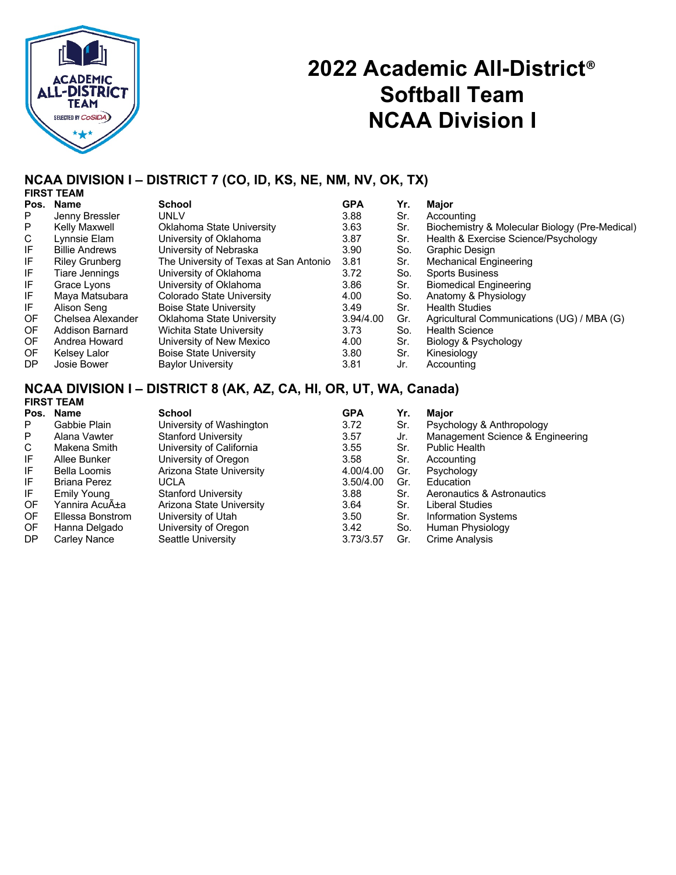

## **2022 Academic All-District**® **Softball Team NCAA Division I**

### **NCAA DIVISION I – DISTRICT 7 (CO, ID, KS, NE, NM, NV, OK, TX)**

|           | <b>FIRST TEAM</b>     |                                        |            |     |                                                |  |  |  |  |
|-----------|-----------------------|----------------------------------------|------------|-----|------------------------------------------------|--|--|--|--|
|           | Pos. Name             | <b>School</b>                          | <b>GPA</b> | Yr. | Major                                          |  |  |  |  |
| P         | Jenny Bressler        | UNLV                                   | 3.88       | Sr. | Accounting                                     |  |  |  |  |
| P         | Kelly Maxwell         | Oklahoma State University              | 3.63       | Sr. | Biochemistry & Molecular Biology (Pre-Medical) |  |  |  |  |
| C         | Lynnsie Elam          | University of Oklahoma                 | 3.87       | Sr. | Health & Exercise Science/Psychology           |  |  |  |  |
| IF        | <b>Billie Andrews</b> | University of Nebraska                 | 3.90       | So. | <b>Graphic Design</b>                          |  |  |  |  |
| IF        | <b>Riley Grunberg</b> | The University of Texas at San Antonio | 3.81       | Sr. | <b>Mechanical Engineering</b>                  |  |  |  |  |
| IF        | Tiare Jennings        | University of Oklahoma                 | 3.72       | So. | <b>Sports Business</b>                         |  |  |  |  |
| IF        | Grace Lyons           | University of Oklahoma                 | 3.86       | Sr. | <b>Biomedical Engineering</b>                  |  |  |  |  |
| IF        | Maya Matsubara        | <b>Colorado State University</b>       | 4.00       | So. | Anatomy & Physiology                           |  |  |  |  |
| IF.       | Alison Seng           | <b>Boise State University</b>          | 3.49       | Sr. | <b>Health Studies</b>                          |  |  |  |  |
| OF        | Chelsea Alexander     | Oklahoma State University              | 3.94/4.00  | Gr. | Agricultural Communications (UG) / MBA (G)     |  |  |  |  |
| <b>OF</b> | Addison Barnard       | <b>Wichita State University</b>        | 3.73       | So. | <b>Health Science</b>                          |  |  |  |  |
| OF.       | Andrea Howard         | University of New Mexico               | 4.00       | Sr. | Biology & Psychology                           |  |  |  |  |
| OF        | Kelsey Lalor          | <b>Boise State University</b>          | 3.80       | Sr. | Kinesiology                                    |  |  |  |  |
| DP.       | Josie Bower           | <b>Baylor University</b>               | 3.81       | Jr. | Accounting                                     |  |  |  |  |

#### **NCAA DIVISION I – DISTRICT 8 (AK, AZ, CA, HI, OR, UT, WA, Canada) FIRST TEAM**

| Pos.      | <b>Name</b>      | <b>School</b>              | <b>GPA</b> | Yr. | Major                            |
|-----------|------------------|----------------------------|------------|-----|----------------------------------|
| P         | Gabbie Plain     | University of Washington   | 3.72       | Sr. | Psychology & Anthropology        |
| P         | Alana Vawter     | <b>Stanford University</b> | 3.57       | Jr. | Management Science & Engineering |
| C         | Makena Smith     | University of California   | 3.55       | Sr. | <b>Public Health</b>             |
| IF        | Allee Bunker     | University of Oregon       | 3.58       | Sr. | Accounting                       |
| IF        | Bella Loomis     | Arizona State University   | 4.00/4.00  | Gr. | Psychology                       |
| IF        | Briana Perez     | UCLA                       | 3.50/4.00  | Gr. | Education                        |
| IF        | Emily Young      | <b>Stanford University</b> | 3.88       | Sr. | Aeronautics & Astronautics       |
| OF        | Yannira AcuA±a   | Arizona State University   | 3.64       | Sr. | Liberal Studies                  |
| OF        | Ellessa Bonstrom | University of Utah         | 3.50       | Sr. | <b>Information Systems</b>       |
| OF        | Hanna Delgado    | University of Oregon       | 3.42       | So. | Human Physiology                 |
| <b>DP</b> | Carley Nance     | Seattle University         | 3.73/3.57  | Gr. | Crime Analysis                   |
|           |                  |                            |            |     |                                  |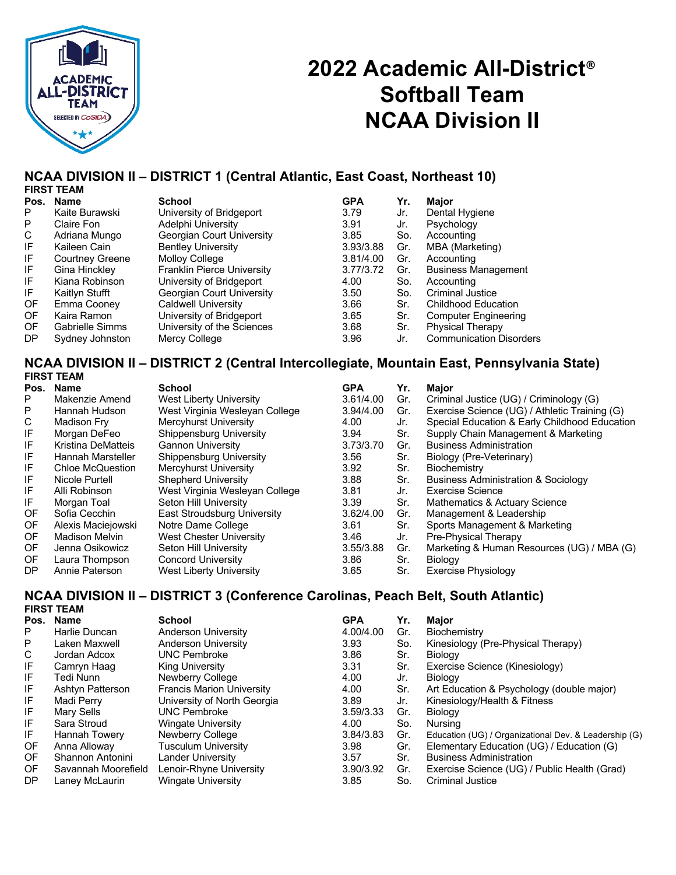

# **2022 Academic All-District**® **Softball Team NCAA Division II**

## **NCAA DIVISION II – DISTRICT 1 (Central Atlantic, East Coast, Northeast 10)**

|     | <b>FIRST TEAM</b>      |                                   |            |     |                                |
|-----|------------------------|-----------------------------------|------------|-----|--------------------------------|
|     | Pos. Name              | School                            | <b>GPA</b> | Yr. | Major                          |
| P   | Kaite Burawski         | University of Bridgeport          | 3.79       | Jr. | Dental Hygiene                 |
| P   | Claire Fon             | Adelphi University                | 3.91       | Jr. | Psychology                     |
| C   | Adriana Mungo          | Georgian Court University         | 3.85       | So. | Accounting                     |
| IF  | Kaileen Cain           | <b>Bentley University</b>         | 3.93/3.88  | Gr. | MBA (Marketing)                |
| IF  | <b>Courtney Greene</b> | <b>Molloy College</b>             | 3.81/4.00  | Gr. | Accounting                     |
| IF  | Gina Hinckley          | <b>Franklin Pierce University</b> | 3.77/3.72  | Gr. | <b>Business Management</b>     |
| IF. | Kiana Robinson         | University of Bridgeport          | 4.00       | So. | Accounting                     |
| IF  | Kaitlyn Stufft         | Georgian Court University         | 3.50       | So. | <b>Criminal Justice</b>        |
| 0F  | Emma Cooney            | Caldwell University               | 3.66       | Sr. | Childhood Education            |
| OF. | Kaira Ramon            | University of Bridgeport          | 3.65       | Sr. | <b>Computer Engineering</b>    |
| OF. | Gabrielle Simms        | University of the Sciences        | 3.68       | Sr. | <b>Physical Therapy</b>        |
| DP  | Sydney Johnston        | Mercy College                     | 3.96       | Jr. | <b>Communication Disorders</b> |

#### **NCAA DIVISION II – DISTRICT 2 (Central Intercollegiate, Mountain East, Pennsylvania State) FIRST TEAM**

| Pos.      | Name                  | <b>School</b>                  | <b>GPA</b> | Yr. | <b>Major</b>                                   |
|-----------|-----------------------|--------------------------------|------------|-----|------------------------------------------------|
| P         | Makenzie Amend        | West Liberty University        | 3.61/4.00  | Gr. | Criminal Justice (UG) / Criminology (G)        |
| P         | Hannah Hudson         | West Virginia Wesleyan College | 3.94/4.00  | Gr. | Exercise Science (UG) / Athletic Training (G)  |
| C         | Madison Frv           | Mercyhurst University          | 4.00       | Jr. | Special Education & Early Childhood Education  |
| IF        | Morgan DeFeo          | Shippensburg University        | 3.94       | Sr. | Supply Chain Management & Marketing            |
| IF        | Kristina DeMatteis    | <b>Gannon University</b>       | 3.73/3.70  | Gr. | <b>Business Administration</b>                 |
| IF        | Hannah Marsteller     | Shippensburg University        | 3.56       | Sr. | Biology (Pre-Veterinary)                       |
| IF        | Chloe McQuestion      | <b>Mercyhurst University</b>   | 3.92       | Sr. | Biochemistry                                   |
| IF        | Nicole Purtell        | <b>Shepherd University</b>     | 3.88       | Sr. | <b>Business Administration &amp; Sociology</b> |
| IF        | Alli Robinson         | West Virginia Wesleyan College | 3.81       | Jr. | Exercise Science                               |
| IF        | Morgan Toal           | Seton Hill University          | 3.39       | Sr. | Mathematics & Actuary Science                  |
| OF        | Sofia Cecchin         | East Stroudsburg University    | 3.62/4.00  | Gr. | Management & Leadership                        |
| 0F        | Alexis Maciejowski    | Notre Dame College             | 3.61       | Sr. | Sports Management & Marketing                  |
| OF.       | <b>Madison Melvin</b> | West Chester University        | 3.46       | Jr. | Pre-Physical Therapy                           |
| <b>OF</b> | Jenna Osikowicz       | Seton Hill University          | 3.55/3.88  | Gr. | Marketing & Human Resources (UG) / MBA (G)     |
| 0F        | Laura Thompson        | Concord University             | 3.86       | Sr. | Biology                                        |
| DP        | Annie Paterson        | <b>West Liberty University</b> | 3.65       | Sr. | Exercise Physiology                            |

#### **NCAA DIVISION II – DISTRICT 3 (Conference Carolinas, Peach Belt, South Atlantic) FIRST TEAM**

|     | 1 1117. I LAM        |                                  |            |     |                                                       |
|-----|----------------------|----------------------------------|------------|-----|-------------------------------------------------------|
|     | Pos. Name            | <b>School</b>                    | <b>GPA</b> | Yr. | <b>Major</b>                                          |
| P   | Harlie Duncan        | <b>Anderson University</b>       | 4.00/4.00  | Gr. | Biochemistry                                          |
| P   | Laken Maxwell        | <b>Anderson University</b>       | 3.93       | So. | Kinesiology (Pre-Physical Therapy)                    |
| C   | Jordan Adcox         | <b>UNC Pembroke</b>              | 3.86       | Sr. | Biology                                               |
| IF  | Camryn Haag          | King University                  | 3.31       | Sr. | Exercise Science (Kinesiology)                        |
| IF  | Tedi Nunn            | Newberry College                 | 4.00       | Jr. | Biology                                               |
| IF  | Ashtyn Patterson     | <b>Francis Marion University</b> | 4.00       | Sr. | Art Education & Psychology (double major)             |
| IF  | Madi Perry           | University of North Georgia      | 3.89       | Jr. | Kinesiology/Health & Fitness                          |
| IF  | Mary Sells           | <b>UNC Pembroke</b>              | 3.59/3.33  | Gr. | Biology                                               |
| IF  | Sara Stroud          | <b>Wingate University</b>        | 4.00       | So. | Nursing                                               |
| IF  | <b>Hannah Towery</b> | Newberry College                 | 3.84/3.83  | Gr. | Education (UG) / Organizational Dev. & Leadership (G) |
| OF. | Anna Alloway         | Tusculum University              | 3.98       | Gr. | Elementary Education (UG) / Education (G)             |
| OF. | Shannon Antonini     | Lander University                | 3.57       | Sr. | <b>Business Administration</b>                        |
| OF. | Savannah Moorefield  | Lenoir-Rhyne University          | 3.90/3.92  | Gr. | Exercise Science (UG) / Public Health (Grad)          |
| DP  | Laney McLaurin       | <b>Wingate University</b>        | 3.85       | So. | <b>Criminal Justice</b>                               |
|     |                      |                                  |            |     |                                                       |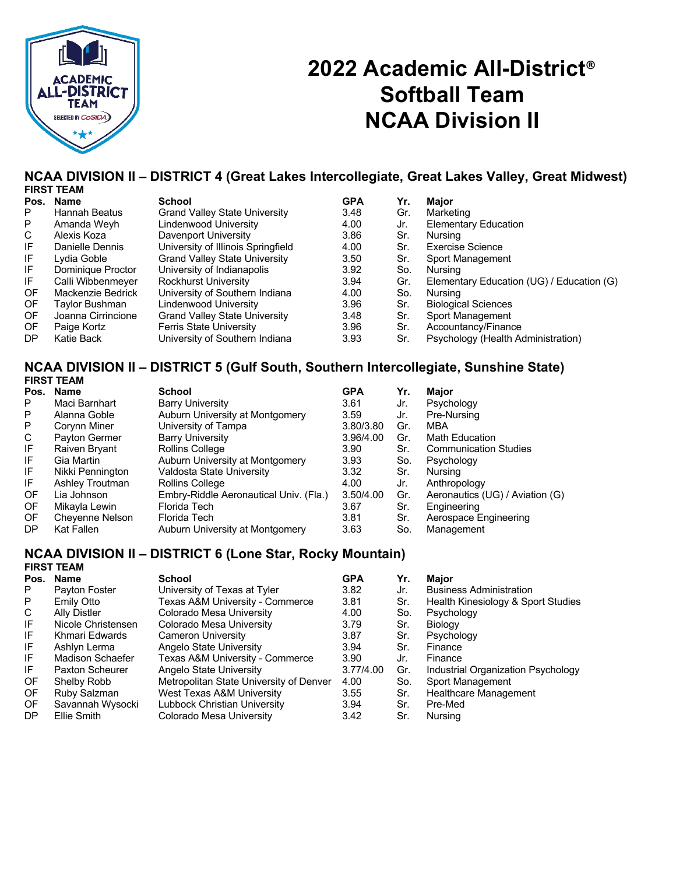

# **2022 Academic All-District**® **Softball Team NCAA Division II**

## **NCAA DIVISION II – DISTRICT 4 (Great Lakes Intercollegiate, Great Lakes Valley, Great Midwest)**

|     | <b>FIRST TEAM</b>  |                                      |            |     |                                           |
|-----|--------------------|--------------------------------------|------------|-----|-------------------------------------------|
|     | Pos. Name          | <b>School</b>                        | <b>GPA</b> | Yr. | <b>Maior</b>                              |
| P   | Hannah Beatus      | <b>Grand Valley State University</b> | 3.48       | Gr. | Marketing                                 |
| P   | Amanda Weyh        | Lindenwood University                | 4.00       | Jr. | <b>Elementary Education</b>               |
| C   | Alexis Koza        | Davenport University                 | 3.86       | Sr. | Nursing                                   |
| IF  | Danielle Dennis    | University of Illinois Springfield   | 4.00       | Sr. | Exercise Science                          |
| IF  | Lydia Goble        | <b>Grand Valley State University</b> | 3.50       | Sr. | Sport Management                          |
| IF  | Dominique Proctor  | University of Indianapolis           | 3.92       | So. | Nursina                                   |
| IF  | Calli Wibbenmeyer  | <b>Rockhurst University</b>          | 3.94       | Gr. | Elementary Education (UG) / Education (G) |
| 0F  | Mackenzie Bedrick  | University of Southern Indiana       | 4.00       | So. | Nursing                                   |
| OF  | Taylor Bushman     | Lindenwood University                | 3.96       | Sr. | <b>Biological Sciences</b>                |
| OF. | Joanna Cirrincione | <b>Grand Valley State University</b> | 3.48       | Sr. | Sport Management                          |
| OF  | Paige Kortz        | <b>Ferris State University</b>       | 3.96       | Sr. | Accountancy/Finance                       |
| DP. | Katie Back         | University of Southern Indiana       | 3.93       | Sr. | Psychology (Health Administration)        |

#### **NCAA DIVISION II – DISTRICT 5 (Gulf South, Southern Intercollegiate, Sunshine State) FIRST TEAM**

|           | Pos. Name        | <b>School</b>                          | <b>GPA</b> | Yr. | Major                           |
|-----------|------------------|----------------------------------------|------------|-----|---------------------------------|
| P         | Maci Barnhart    | <b>Barry University</b>                | 3.61       | Jr. | Psychology                      |
| P         | Alanna Goble     | Auburn University at Montgomery        | 3.59       | Jr. | Pre-Nursing                     |
| P         | Corynn Miner     | University of Tampa                    | 3.80/3.80  | Gr. | MBA                             |
| C         | Payton Germer    | <b>Barry University</b>                | 3.96/4.00  | Gr. | <b>Math Education</b>           |
| IF        | Raiven Bryant    | Rollins College                        | 3.90       | Sr. | <b>Communication Studies</b>    |
| IF        | Gia Martin       | Auburn University at Montgomery        | 3.93       | So. | Psychology                      |
| IF        | Nikki Pennington | Valdosta State University              | 3.32       | Sr. | Nursing                         |
| IF        | Ashley Troutman  | Rollins College                        | 4.00       | Jr. | Anthropology                    |
| OF        | Lia Johnson      | Embry-Riddle Aeronautical Univ. (Fla.) | 3.50/4.00  | Gr. | Aeronautics (UG) / Aviation (G) |
| OF        | Mikayla Lewin    | Florida Tech                           | 3.67       | Sr. | Engineering                     |
| OF        | Cheyenne Nelson  | Florida Tech                           | 3.81       | Sr. | Aerospace Engineering           |
| <b>DP</b> | Kat Fallen       | Auburn University at Montgomery        | 3.63       | So. | Management                      |

#### **NCAA DIVISION II – DISTRICT 6 (Lone Star, Rocky Mountain) FIRST TEAM**

| Pos.      | <b>Name</b>         | School                                  | <b>GPA</b> | Yr. | Major                              |
|-----------|---------------------|-----------------------------------------|------------|-----|------------------------------------|
| P         | Payton Foster       | University of Texas at Tyler            | 3.82       | Jr. | <b>Business Administration</b>     |
| P.        | Emily Otto          | Texas A&M University - Commerce         | 3.81       | Sr. | Health Kinesiology & Sport Studies |
| C         | <b>Ally Distler</b> | Colorado Mesa University                | 4.00       | So. | Psychology                         |
| IF        | Nicole Christensen  | Colorado Mesa University                | 3.79       | Sr. | Biology                            |
| IF        | Khmari Edwards      | Cameron University                      | 3.87       | Sr. | Psychology                         |
| IF        | Ashlyn Lerma        | Angelo State University                 | 3.94       | Sr. | Finance                            |
| IF        | Madison Schaefer    | Texas A&M University - Commerce         | 3.90       | Jr. | Finance                            |
| IF        | Paxton Scheurer     | Angelo State University                 | 3.77/4.00  | Gr. | Industrial Organization Psychology |
| OF.       | Shelby Robb         | Metropolitan State University of Denver | 4.00       | So. | Sport Management                   |
| OF.       | Ruby Salzman        | West Texas A&M University               | 3.55       | Sr. | Healthcare Management              |
| OF.       | Savannah Wysocki    | Lubbock Christian University            | 3.94       | Sr. | Pre-Med                            |
| <b>DP</b> | Ellie Smith         | Colorado Mesa University                | 3.42       | Sr. | Nursing                            |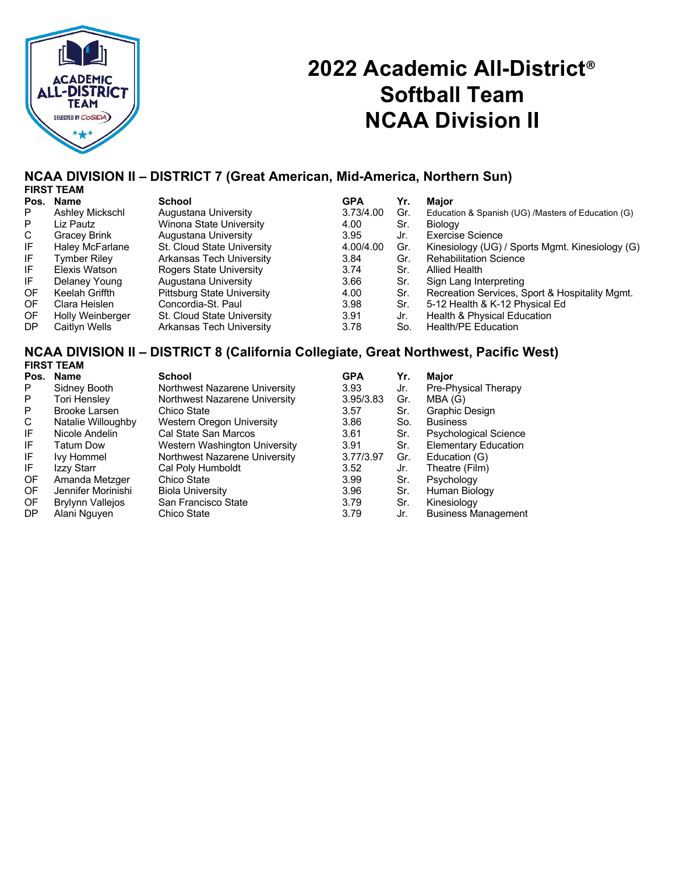

# **2022 Academic All-District**® **Softball Team NCAA Division II**

### **NCAA DIVISION II – DISTRICT 7 (Great American, Mid-America, Northern Sun)**

|           | <b>FIRST TEAM</b> |                            |            |     |                                                    |
|-----------|-------------------|----------------------------|------------|-----|----------------------------------------------------|
| Pos.      | <b>Name</b>       | School                     | <b>GPA</b> | Yr. | Maior                                              |
| P.        | Ashley Mickschl   | Augustana University       | 3.73/4.00  | Gr. | Education & Spanish (UG) /Masters of Education (G) |
| P         | Liz Pautz         | Winona State University    | 4.00       | Sr. | Biology                                            |
| C         | Gracey Brink      | Augustana University       | 3.95       | Jr. | <b>Exercise Science</b>                            |
| IF        | Haley McFarlane   | St. Cloud State University | 4.00/4.00  | Gr. | Kinesiology (UG) / Sports Mgmt. Kinesiology (G)    |
| IF        | Tvmber Rilev      | Arkansas Tech University   | 3.84       | Gr. | <b>Rehabilitation Science</b>                      |
| IF        | Elexis Watson     | Rogers State University    | 3.74       | Sr. | <b>Allied Health</b>                               |
| IF.       | Delaney Young     | Augustana University       | 3.66       | Sr. | Sign Lang Interpreting                             |
| <b>OF</b> | Keelah Griffth    | Pittsburg State University | 4.00       | Sr. | Recreation Services, Sport & Hospitality Mgmt.     |
| OF.       | Clara Heislen     | Concordia-St. Paul         | 3.98       | Sr. | 5-12 Health & K-12 Physical Ed                     |
| <b>OF</b> | Holly Weinberger  | St. Cloud State University | 3.91       | Jr. | Health & Physical Education                        |
| DP        | Caitlyn Wells     | Arkansas Tech University   | 3.78       | So. | Health/PE Education                                |

#### **NCAA DIVISION II – DISTRICT 8 (California Collegiate, Great Northwest, Pacific West) FIRST TEAM**

| Pos.      | <b>Name</b>             | <b>School</b>                 | <b>GPA</b> | Yr. | Major                        |
|-----------|-------------------------|-------------------------------|------------|-----|------------------------------|
| P         | Sidney Booth            | Northwest Nazarene University | 3.93       | Jr. | Pre-Physical Therapy         |
| P         | Tori Hensley            | Northwest Nazarene University | 3.95/3.83  | Gr. | MBA (G)                      |
| P         | <b>Brooke Larsen</b>    | Chico State                   | 3.57       | Sr. | Graphic Design               |
| C         | Natalie Willoughby      | Western Oregon University     | 3.86       | So. | <b>Business</b>              |
| IF        | Nicole Andelin          | Cal State San Marcos          | 3.61       | Sr. | <b>Psychological Science</b> |
| IF.       | Tatum Dow               | Western Washington University | 3.91       | Sr. | <b>Elementary Education</b>  |
| IF.       | <b>Ivy Hommel</b>       | Northwest Nazarene University | 3.77/3.97  | Gr. | Education (G)                |
| IF        | Izzy Starr              | Cal Poly Humboldt             | 3.52       | Jr. | Theatre (Film)               |
| OF        | Amanda Metzger          | Chico State                   | 3.99       | Sr. | Psychology                   |
| OF        | Jennifer Morinishi      | <b>Biola University</b>       | 3.96       | Sr. | Human Biology                |
| OF        | <b>Brylynn Vallejos</b> | San Francisco State           | 3.79       | Sr. | Kinesiology                  |
| <b>DP</b> | Alani Nguyen            | Chico State                   | 3.79       | Jr. | <b>Business Management</b>   |
|           |                         |                               |            |     |                              |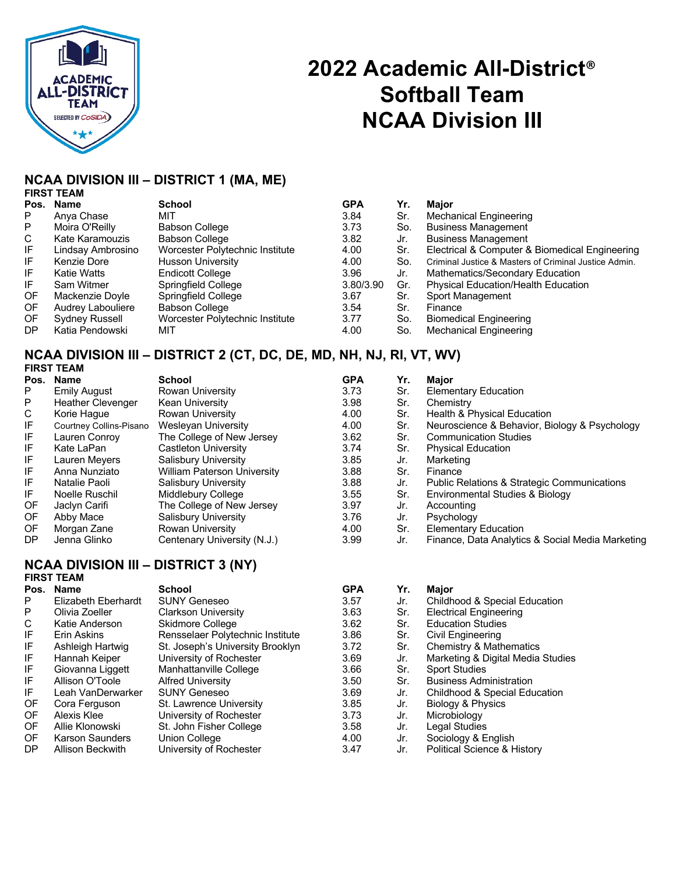

# **2022 Academic All-District**® **Softball Team NCAA Division III**

### **NCAA DIVISION III – DISTRICT 1 (MA, ME)**

| <b>FIRST TEAM</b> |
|-------------------|
|                   |

|           | Pos. Name         | <b>School</b>                   | <b>GPA</b> | Yr. | <b>Maior</b>                                          |
|-----------|-------------------|---------------------------------|------------|-----|-------------------------------------------------------|
| P         | Anva Chase        | міт                             | 3.84       | Sr. | <b>Mechanical Engineering</b>                         |
| P         | Moira O'Reilly    | <b>Babson College</b>           | 3.73       | So. | <b>Business Management</b>                            |
| C         | Kate Karamouzis   | <b>Babson College</b>           | 3.82       | Jr. | <b>Business Management</b>                            |
| IF        | Lindsay Ambrosino | Worcester Polytechnic Institute | 4.00       | Sr. | Electrical & Computer & Biomedical Engineering        |
| IF        | Kenzie Dore       | <b>Husson University</b>        | 4.00       | So. | Criminal Justice & Masters of Criminal Justice Admin. |
| IF        | Katie Watts       | Endicott College                | 3.96       | Jr. | Mathematics/Secondary Education                       |
| IF        | Sam Witmer        | Springfield College             | 3.80/3.90  | Gr. | <b>Physical Education/Health Education</b>            |
| OF        | Mackenzie Doyle   | Springfield College             | 3.67       | Sr. | Sport Management                                      |
| OF        | Audrey Labouliere | <b>Babson College</b>           | 3.54       | Sr. | Finance                                               |
| OF        | Sydney Russell    | Worcester Polytechnic Institute | 3.77       | So. | <b>Biomedical Engineering</b>                         |
| <b>DP</b> | Katia Pendowski   | міт                             | 4.00       | So. | <b>Mechanical Engineering</b>                         |

#### **NCAA DIVISION III – DISTRICT 2 (CT, DC, DE, MD, NH, NJ, RI, VT, WV) FIRST TEAM**

|      | 1 1133 1 LAM             |                                    |            |     |                                                        |
|------|--------------------------|------------------------------------|------------|-----|--------------------------------------------------------|
| Pos. | <b>Name</b>              | <b>School</b>                      | <b>GPA</b> | Yr. | Major                                                  |
| P    | <b>Emily August</b>      | Rowan University                   | 3.73       | Sr. | Elementary Education                                   |
| P    | <b>Heather Clevenger</b> | <b>Kean University</b>             | 3.98       | Sr. | Chemistry                                              |
| C    | Korie Haque              | Rowan University                   | 4.00       | Sr. | <b>Health &amp; Physical Education</b>                 |
| IF   | Courtney Collins-Pisano  | Wesleyan University                | 4.00       | Sr. | Neuroscience & Behavior, Biology & Psychology          |
| IF   | Lauren Conroy            | The College of New Jersey          | 3.62       | Sr. | <b>Communication Studies</b>                           |
| IF   | Kate LaPan               | <b>Castleton University</b>        | 3.74       | Sr. | <b>Physical Education</b>                              |
| IF   | Lauren Meyers            | Salisbury University               | 3.85       | Jr. | Marketing                                              |
| IF   | Anna Nunziato            | <b>William Paterson University</b> | 3.88       | Sr. | Finance                                                |
| IF   | Natalie Paoli            | Salisbury University               | 3.88       | Jr. | <b>Public Relations &amp; Strategic Communications</b> |
| IF   | Noelle Ruschil           | Middlebury College                 | 3.55       | Sr. | Environmental Studies & Biology                        |
| OF   | Jaclyn Carifi            | The College of New Jersey          | 3.97       | Jr. | Accounting                                             |
| OF   | Abby Mace                | <b>Salisbury University</b>        | 3.76       | Jr. | Psychology                                             |
| OF.  | Morgan Zane              | Rowan University                   | 4.00       | Sr. | <b>Elementary Education</b>                            |
| DP.  | Jenna Glinko             | Centenary University (N.J.)        | 3.99       | Jr. | Finance, Data Analytics & Social Media Marketing       |
|      |                          |                                    |            |     |                                                        |

#### **NCAA DIVISION III – DISTRICT 3 (NY) FIRST TEAM**

| Pos. | <b>Name</b>            | <b>School</b>                    | <b>GPA</b> | Yr. | Major                                    |
|------|------------------------|----------------------------------|------------|-----|------------------------------------------|
| P.   | Elizabeth Eberhardt    | <b>SUNY Geneseo</b>              | 3.57       | Jr. | Childhood & Special Education            |
| P    | Olivia Zoeller         | <b>Clarkson University</b>       | 3.63       | Sr. | <b>Electrical Engineering</b>            |
| C    | Katie Anderson         | Skidmore College                 | 3.62       | Sr. | <b>Education Studies</b>                 |
| IF   | Erin Askins            | Rensselaer Polytechnic Institute | 3.86       | Sr. | Civil Engineering                        |
| IF   | Ashleigh Hartwig       | St. Joseph's University Brooklyn | 3.72       | Sr. | Chemistry & Mathematics                  |
| IF   | Hannah Keiper          | University of Rochester          | 3.69       | Jr. | Marketing & Digital Media Studies        |
| IF   | Giovanna Liggett       | Manhattanville College           | 3.66       | Sr. | <b>Sport Studies</b>                     |
| IF   | Allison O'Toole        | <b>Alfred University</b>         | 3.50       | Sr. | <b>Business Administration</b>           |
| IF   | Leah VanDerwarker      | <b>SUNY Geneseo</b>              | 3.69       | Jr. | <b>Childhood &amp; Special Education</b> |
| OF.  | Cora Ferguson          | St. Lawrence University          | 3.85       | Jr. | Biology & Physics                        |
| OF.  | Alexis Klee            | University of Rochester          | 3.73       | Jr. | Microbiology                             |
| OF.  | Allie Klonowski        | St. John Fisher College          | 3.58       | Jr. | Legal Studies                            |
| OF.  | <b>Karson Saunders</b> | Union College                    | 4.00       | Jr. | Sociology & English                      |
| DP   | Allison Beckwith       | University of Rochester          | 3.47       | Jr. | <b>Political Science &amp; History</b>   |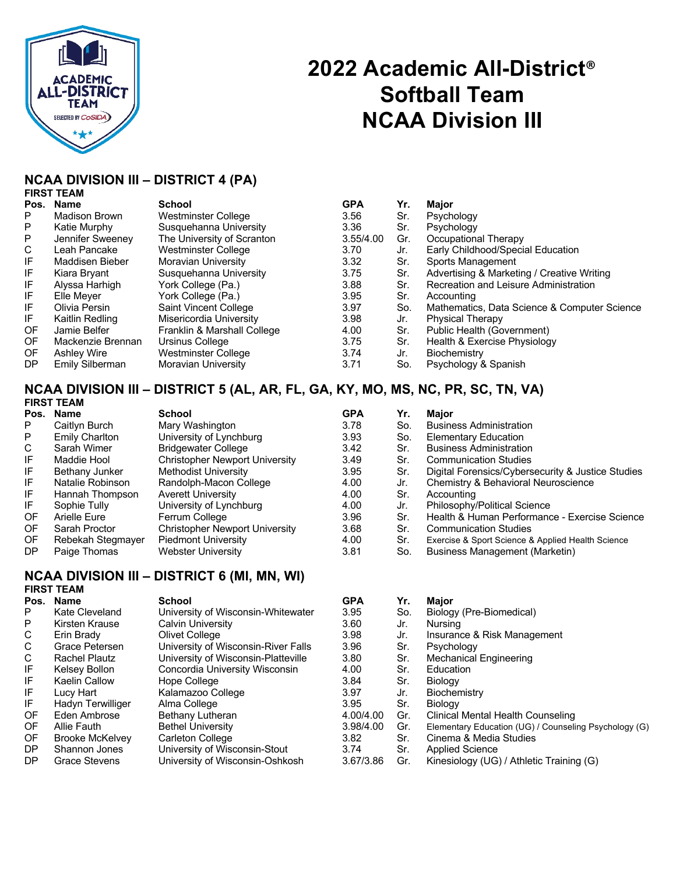

# **2022 Academic All-District**® **Softball Team NCAA Division III**

### **NCAA DIVISION III – DISTRICT 4 (PA)**

|   | <b>FIRST TEAM</b> |
|---|-------------------|
| n | $\blacksquare$    |

| Pos. | <b>Name</b>        | <b>School</b>               | <b>GPA</b> | Yr. | <b>Maior</b>                                 |
|------|--------------------|-----------------------------|------------|-----|----------------------------------------------|
| P    | Madison Brown      | Westminster College         | 3.56       | Sr. | Psychology                                   |
| P    | Katie Murphy       | Susquehanna University      | 3.36       | Sr. | Psychology                                   |
| P    | Jennifer Sweeney   | The University of Scranton  | 3.55/4.00  | Gr. | Occupational Therapy                         |
| C    | Leah Pancake       | Westminster College         | 3.70       | Jr. | Early Childhood/Special Education            |
| IF   | Maddisen Bieber    | <b>Moravian University</b>  | 3.32       | Sr. | Sports Management                            |
| IF   | Kiara Bryant       | Susquehanna University      | 3.75       | Sr. | Advertising & Marketing / Creative Writing   |
| IF   | Alvssa Harhigh     | York College (Pa.)          | 3.88       | Sr. | Recreation and Leisure Administration        |
| IF   | Elle Mever         | York College (Pa.)          | 3.95       | Sr. | Accounting                                   |
| IF   | Olivia Persin      | Saint Vincent College       | 3.97       | So. | Mathematics, Data Science & Computer Science |
| IF   | Kaitlin Redling    | Misericordia University     | 3.98       | Jr. | <b>Physical Therapy</b>                      |
| 0F   | Jamie Belfer       | Franklin & Marshall College | 4.00       | Sr. | Public Health (Government)                   |
| OF.  | Mackenzie Brennan  | Ursinus College             | 3.75       | Sr. | Health & Exercise Physiology                 |
| OF.  | <b>Ashley Wire</b> | Westminster College         | 3.74       | Jr. | Biochemistry                                 |
| DP.  | Emily Silberman    | Moravian University         | 3.71       | So. | Psychology & Spanish                         |

#### **NCAA DIVISION III – DISTRICT 5 (AL, AR, FL, GA, KY, MO, MS, NC, PR, SC, TN, VA) FIRST TEAM**

| Pos. | Name              | School                                | <b>GPA</b> | Yr. | <b>Maior</b>                                      |
|------|-------------------|---------------------------------------|------------|-----|---------------------------------------------------|
| P    | Caitlyn Burch     | Mary Washington                       | 3.78       | So. | <b>Business Administration</b>                    |
| P    | Emily Charlton    | University of Lynchburg               | 3.93       | So. | <b>Elementary Education</b>                       |
| C    | Sarah Wimer       | <b>Bridgewater College</b>            | 3.42       | Sr. | <b>Business Administration</b>                    |
| IF   | Maddie Hool       | <b>Christopher Newport University</b> | 3.49       | Sr. | <b>Communication Studies</b>                      |
| IF   | Bethany Junker    | Methodist University                  | 3.95       | Sr. | Digital Forensics/Cybersecurity & Justice Studies |
| IF   | Natalie Robinson  | Randolph-Macon College                | 4.00       | Jr. | Chemistry & Behavioral Neuroscience               |
| IF   | Hannah Thompson   | <b>Averett University</b>             | 4.00       | Sr. | Accounting                                        |
| IF   | Sophie Tully      | University of Lynchburg               | 4.00       | Jr. | Philosophy/Political Science                      |
| OF   | Arielle Eure      | Ferrum College                        | 3.96       | Sr. | Health & Human Performance - Exercise Science     |
| OF.  | Sarah Proctor     | <b>Christopher Newport University</b> | 3.68       | Sr. | <b>Communication Studies</b>                      |
| OF.  | Rebekah Stegmayer | <b>Piedmont University</b>            | 4.00       | Sr. | Exercise & Sport Science & Applied Health Science |
| DP   | Paige Thomas      | Webster University                    | 3.81       | So. | Business Management (Marketin)                    |

### **NCAA DIVISION III – DISTRICT 6 (MI, MN, WI)**

## **FIRST TEAM**

| Pos. | <b>Name</b>            | <b>School</b>                       | <b>GPA</b> | Yr. | <b>Maior</b>                                          |
|------|------------------------|-------------------------------------|------------|-----|-------------------------------------------------------|
| P    | Kate Cleveland         | University of Wisconsin-Whitewater  | 3.95       | So. | Biology (Pre-Biomedical)                              |
| P    | Kirsten Krause         | Calvin University                   | 3.60       | Jr. | <b>Nursing</b>                                        |
| C    | Erin Brady             | Olivet College                      | 3.98       | Jr. | Insurance & Risk Management                           |
| C    | Grace Petersen         | University of Wisconsin-River Falls | 3.96       | Sr. | Psychology                                            |
| C    | Rachel Plautz          | University of Wisconsin-Platteville | 3.80       | Sr. | <b>Mechanical Engineering</b>                         |
| IF   | Kelsey Bollon          | Concordia University Wisconsin      | 4.00       | Sr. | Education                                             |
| IF   | Kaelin Callow          | Hope College                        | 3.84       | Sr. | Biology                                               |
| IF   | Lucy Hart              | Kalamazoo College                   | 3.97       | Jr. | Biochemistry                                          |
| IF   | Hadyn Terwilliger      | Alma College                        | 3.95       | Sr. | <b>Biology</b>                                        |
| OF.  | Eden Ambrose           | Bethany Lutheran                    | 4.00/4.00  | Gr. | Clinical Mental Health Counseling                     |
| OF.  | Allie Fauth            | <b>Bethel University</b>            | 3.98/4.00  | Gr. | Elementary Education (UG) / Counseling Psychology (G) |
| OF.  | <b>Brooke McKelvey</b> | Carleton College                    | 3.82       | Sr. | Cinema & Media Studies                                |
| DP.  | Shannon Jones          | University of Wisconsin-Stout       | 3.74       | Sr. | <b>Applied Science</b>                                |
| DP.  | Grace Stevens          | University of Wisconsin-Oshkosh     | 3.67/3.86  | Gr. | Kinesiology (UG) / Athletic Training (G)              |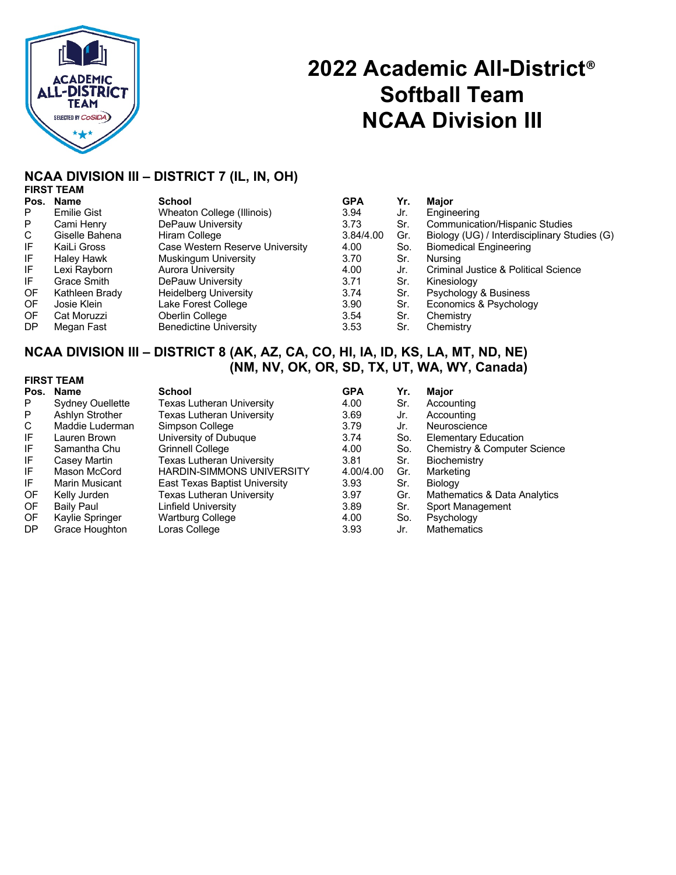

# **2022 Academic All-District**® **Softball Team NCAA Division III**

#### **NCAA DIVISION III – DISTRICT 7 (IL, IN, OH) FIRST TEAM**

|      | .                  |                                 |            |     |                                              |
|------|--------------------|---------------------------------|------------|-----|----------------------------------------------|
| Pos. | Name               | <b>School</b>                   | <b>GPA</b> | Yr. | <b>Maior</b>                                 |
| P    | <b>Emilie Gist</b> | Wheaton College (Illinois)      | 3.94       | Jr. | Engineering                                  |
| P    | Cami Henry         | DePauw University               | 3.73       | Sr. | <b>Communication/Hispanic Studies</b>        |
| C    | Giselle Bahena     | Hiram College                   | 3.84/4.00  | Gr. | Biology (UG) / Interdisciplinary Studies (G) |
| IF   | KaiLi Gross        | Case Western Reserve University | 4.00       | So. | <b>Biomedical Engineering</b>                |
| IF   | <b>Haley Hawk</b>  | Muskingum University            | 3.70       | Sr. | Nursina                                      |
| IF.  | Lexi Rayborn       | <b>Aurora University</b>        | 4.00       | Jr. | Criminal Justice & Political Science         |
| IF.  | Grace Smith        | DePauw University               | 3.71       | Sr. | Kinesiology                                  |
| OF.  | Kathleen Brady     | <b>Heidelberg University</b>    | 3.74       | Sr. | Psychology & Business                        |
| OF   | Josie Klein        | Lake Forest College             | 3.90       | Sr. | Economics & Psychology                       |
| 0F   | Cat Moruzzi        | Oberlin College                 | 3.54       | Sr. | Chemistry                                    |
| DP   | Megan Fast         | <b>Benedictine University</b>   | 3.53       | Sr. | Chemistry                                    |
|      |                    |                                 |            |     |                                              |

### **NCAA DIVISION III – DISTRICT 8 (AK, AZ, CA, CO, HI, IA, ID, KS, LA, MT, ND, NE) (NM, NV, OK, OR, SD, TX, UT, WA, WY, Canada)**

| <b>FIRST TEAM</b> |                         |                                  |            |     |                                         |  |
|-------------------|-------------------------|----------------------------------|------------|-----|-----------------------------------------|--|
| Pos.              | <b>Name</b>             | <b>School</b>                    | <b>GPA</b> | Yr. | Maior                                   |  |
| P                 | <b>Sydney Ouellette</b> | Texas Lutheran University        | 4.00       | Sr. | Accounting                              |  |
| P                 | Ashlyn Strother         | Texas Lutheran University        | 3.69       | Jr. | Accounting                              |  |
| C                 | Maddie Luderman         | Simpson College                  | 3.79       | Jr. | Neuroscience                            |  |
| IF                | Lauren Brown            | University of Dubuque            | 3.74       | So. | <b>Elementary Education</b>             |  |
| IF                | Samantha Chu            | Grinnell College                 | 4.00       | So. | <b>Chemistry &amp; Computer Science</b> |  |
| IF                | Casey Martin            | <b>Texas Lutheran University</b> | 3.81       | Sr. | Biochemistry                            |  |
| IF                | Mason McCord            | <b>HARDIN-SIMMONS UNIVERSITY</b> | 4.00/4.00  | Gr. | Marketing                               |  |
| IF                | <b>Marin Musicant</b>   | East Texas Baptist University    | 3.93       | Sr. | Biology                                 |  |
| 0F                | Kelly Jurden            | Texas Lutheran University        | 3.97       | Gr. | Mathematics & Data Analytics            |  |
| 0F                | <b>Baily Paul</b>       | Linfield University              | 3.89       | Sr. | Sport Management                        |  |
| OF.               | Kaylie Springer         | <b>Wartburg College</b>          | 4.00       | So. | Psychology                              |  |
| <b>DP</b>         | Grace Houghton          | Loras College                    | 3.93       | Jr. | <b>Mathematics</b>                      |  |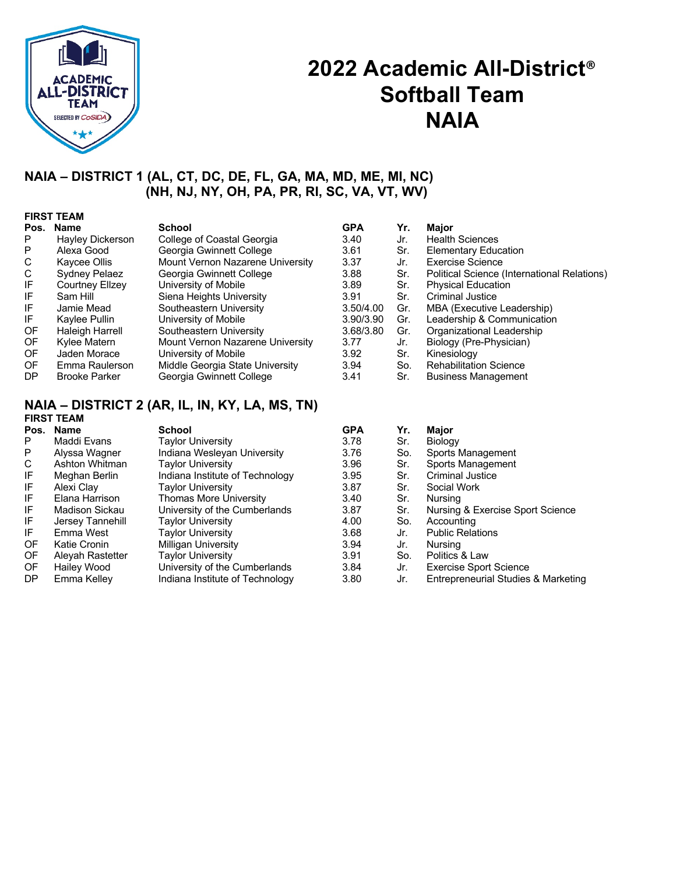

## **2022 Academic All-District**® **Softball Team NAIA**

### **NAIA – DISTRICT 1 (AL, CT, DC, DE, FL, GA, MA, MD, ME, MI, NC) (NH, NJ, NY, OH, PA, PR, RI, SC, VA, VT, WV)**

|     | <b>FIRST TEAM</b>    |                                  |            |     |                                             |  |  |  |
|-----|----------------------|----------------------------------|------------|-----|---------------------------------------------|--|--|--|
|     | Pos. Name            | School                           | <b>GPA</b> | Yr. | Major                                       |  |  |  |
| P   | Hayley Dickerson     | College of Coastal Georgia       | 3.40       | Jr. | <b>Health Sciences</b>                      |  |  |  |
| P   | Alexa Good           | Georgia Gwinnett College         | 3.61       | Sr. | <b>Elementary Education</b>                 |  |  |  |
| C   | Kaycee Ollis         | Mount Vernon Nazarene University | 3.37       | Jr. | Exercise Science                            |  |  |  |
| C   | Sydney Pelaez        | Georgia Gwinnett College         | 3.88       | Sr. | Political Science (International Relations) |  |  |  |
| IF  | Courtney Ellzey      | University of Mobile             | 3.89       | Sr. | <b>Physical Education</b>                   |  |  |  |
| IF  | Sam Hill             | Siena Heights University         | 3.91       | Sr. | <b>Criminal Justice</b>                     |  |  |  |
| IF  | Jamie Mead           | Southeastern University          | 3.50/4.00  | Gr. | MBA (Executive Leadership)                  |  |  |  |
| IF  | Kaylee Pullin        | University of Mobile             | 3.90/3.90  | Gr. | Leadership & Communication                  |  |  |  |
| 0F  | Haleigh Harrell      | Southeastern University          | 3.68/3.80  | Gr. | Organizational Leadership                   |  |  |  |
| 0F  | Kylee Matern         | Mount Vernon Nazarene University | 3.77       | Jr. | Biology (Pre-Physician)                     |  |  |  |
| OF. | Jaden Morace         | University of Mobile             | 3.92       | Sr. | Kinesiology                                 |  |  |  |
| OF. | Emma Raulerson       | Middle Georgia State University  | 3.94       | So. | <b>Rehabilitation Science</b>               |  |  |  |
| DP  | <b>Brooke Parker</b> | Georgia Gwinnett College         | 3.41       | Sr. | <b>Business Management</b>                  |  |  |  |

#### **NAIA – DISTRICT 2 (AR, IL, IN, KY, LA, MS, TN) FIRST TEAM**

| Pos. | <b>Name</b>      | <b>School</b>                   | <b>GPA</b> | Yr. | <b>Major</b>                        |
|------|------------------|---------------------------------|------------|-----|-------------------------------------|
| P    | Maddi Evans      | Taylor University               | 3.78       | Sr. | Biology                             |
| P    | Alyssa Wagner    | Indiana Wesleyan University     | 3.76       | So. | Sports Management                   |
| C    | Ashton Whitman   | Taylor University               | 3.96       | Sr. | Sports Management                   |
| IF   | Meghan Berlin    | Indiana Institute of Technology | 3.95       | Sr. | <b>Criminal Justice</b>             |
| IF   | Alexi Clay       | Taylor University               | 3.87       | Sr. | Social Work                         |
| IF   | Elana Harrison   | Thomas More University          | 3.40       | Sr. | Nursing                             |
| IF   | Madison Sickau   | University of the Cumberlands   | 3.87       | Sr. | Nursing & Exercise Sport Science    |
| IF   | Jersey Tannehill | Taylor University               | 4.00       | So. | Accounting                          |
| IF   | Emma West        | Taylor University               | 3.68       | Jr. | <b>Public Relations</b>             |
| 0F   | Katie Cronin     | Milligan University             | 3.94       | Jr. | Nursing                             |
| 0F   | Aleyah Rastetter | Taylor University               | 3.91       | So. | Politics & Law                      |
| 0F   | Hailey Wood      | University of the Cumberlands   | 3.84       | Jr. | <b>Exercise Sport Science</b>       |
| DP.  | Emma Kelley      | Indiana Institute of Technology | 3.80       | Jr. | Entrepreneurial Studies & Marketing |
|      |                  |                                 |            |     |                                     |